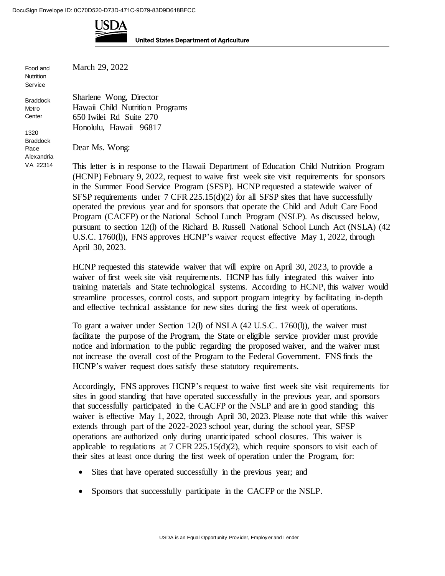

**United States Department of Agriculture** 

Food and **Nutrition Service** 

Braddock Place Alexandria VA 22314 March 29, 2022

Sharlene Wong, Director Hawaii Child Nutrition Programs 650 Iwilei Rd Suite 270 Honolulu, Hawaii 96817 Braddock Metro **Center** 1320

Dear Ms. Wong:

This letter is in response to the Hawaii Department of Education Child Nutrition Program (HCNP) February 9, 2022, request to waive first week site visit requirements for sponsors in the Summer Food Service Program (SFSP). HCNP requested a statewide waiver of SFSP requirements under 7 CFR 225.15(d)(2) for all SFSP sites that have successfully operated the previous year and for sponsors that operate the Child and Adult Care Food Program (CACFP) or the National School Lunch Program (NSLP). As discussed below, pursuant to section 12(l) of the Richard B. Russell National School Lunch Act (NSLA) (42 U.S.C. 1760(l)), FNS approves HCNP's waiver request effective May 1, 2022, through

April 30, 2023.

HCNP requested this statewide waiver that will expire on April 30, 2023, to provide a waiver of first week site visit requirements. HCNP has fully integrated this waiver into training materials and State technological systems. According to HCNP, this waiver would streamline processes, control costs, and support program integrity by facilitating in-depth and effective technical assistance for new sites during the first week of operations.

To grant a waiver under Section 12(l) of NSLA (42 U.S.C. 1760(l)), the waiver must facilitate the purpose of the Program, the State or eligible service provider must provide notice and information to the public regarding the proposed waiver, and the waiver must not increase the overall cost of the Program to the Federal Government. FNS finds the HCNP's waiver request does satisfy these statutory requirements.

Accordingly, FNS approves HCNP's request to waive first week site visit requirements for sites in good standing that have operated successfully in the previous year, and sponsors that successfully participated in the CACFP or the NSLP and are in good standing; this waiver is effective May 1, 2022, through April 30, 2023. Please note that while this waiver extends through part of the 2022-2023 school year, during the school year, SFSP operations are authorized only during unanticipated school closures. This waiver is applicable to regulations at  $7 \text{ CFR } 225.15(d)(2)$ , which require sponsors to visit each of their sites at least once during the first week of operation under the Program, for:

- Sites that have operated successfully in the previous year; and
- Sponsors that successfully participate in the CACFP or the NSLP.